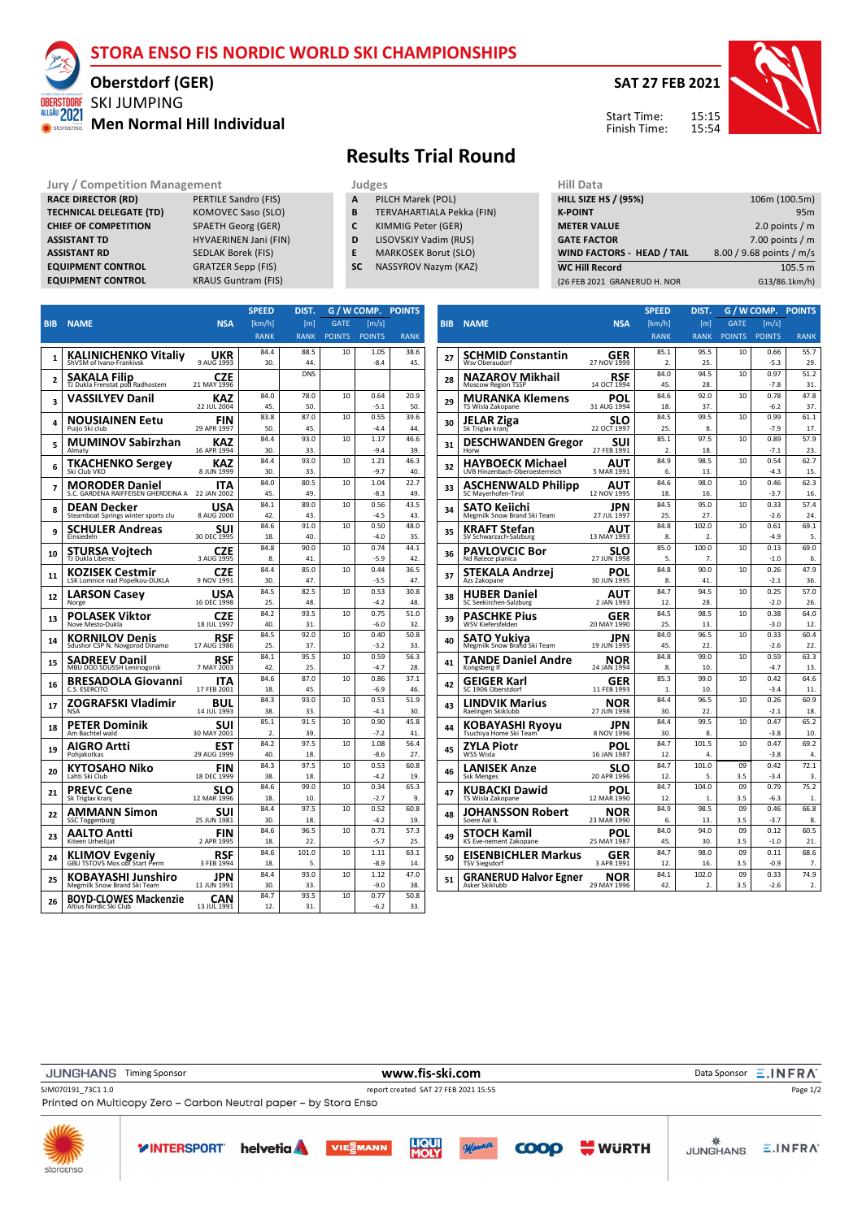### **STORA ENSO FIS NORDIC WORLD SKI CHAMPIONSHIPS**

### SKI JUMPING **Oberstdorf (GER)**

**RACE DIRECTOR (RD)** PERTILE Sandro (FIS)<br> **TECHNICAL DELEGATE (TD)** KOMOVEC Saso (SLO)

**CHIEF OF COMPETITION** SPAETH Georg (GER) **ASSISTANT TD** HYVAERINEN Jani (FIN) **ASSISTANT RD** SEDLAK Borek (FIS) **EQUIPMENT CONTROL** GRATZER Sepp (FIS) **EQUIPMENT CONTROL** KRAUS Guntram (FIS)

**TECHNICAL DELEGATE (TD)** 

ALLGÄU 2021 **WE** storaer

### **Men Normal Hill Individual**

# **Results Trial Round**

- **Jury / Competition Management Judges Hill Data**<br> **RACE DIRECTOR (RD)** PERTILE Sandro (FIS) **A** PILCH Marek (POL) **HILL SIZE HILL SIZE F A** PILCH Marek (POL)<br>**B** TERVAHARTIALA Pe
	- **B** TERVAHARTIALA Pekka (FIN)
	- **C** KIMMIG Peter (GER)
	- **D** LISOVSKIY Vadim (RUS)
	- **E** MARKOSEK Borut (SLO)
	- **SC** NASSYROV Nazym (KAZ)

| нш рата                      |                          |
|------------------------------|--------------------------|
| <b>HILL SIZE HS / (95%)</b>  | 106m (100.5m)            |
| <b>K-POINT</b>               | 95m                      |
| <b>METER VALUE</b>           | 2.0 points $/m$          |
| <b>GATE FACTOR</b>           | 7.00 points $/m$         |
| WIND FACTORS - HEAD / TAIL   | 8.00 / 9.68 points / m/s |
| <b>WC Hill Record</b>        | 105.5 m                  |
| (26 FEB 2021 GRANERUD H. NOR | G13/86.1km/h)            |
|                              |                          |

|                |                                                        |                           | <b>SPEED</b> | DIST.            | G / W COMP.   |                | <b>POINTS</b> |
|----------------|--------------------------------------------------------|---------------------------|--------------|------------------|---------------|----------------|---------------|
| <b>BIB</b>     | <b>NAME</b>                                            | <b>NSA</b>                | [km/h]       | [ <sub>m</sub> ] | <b>GATE</b>   | [m/s]          |               |
|                |                                                        |                           | <b>RANK</b>  | <b>RANK</b>      | <b>POINTS</b> | <b>POINTS</b>  | <b>RANK</b>   |
|                |                                                        |                           | 84.4         | 88.5             | 10            | 1.05           | 38.6          |
| 1              | KALINICHENKO Vitaliy<br>ShVSM of Ivano-Frankivsk       | UKR<br>9 AUG 1993         | 30.          | 44               |               | $-8.4$         | 45.           |
|                |                                                        | <b>CZE</b>                |              | <b>DNS</b>       |               |                |               |
| $\overline{2}$ | <b>SAKALA Filip</b><br>TJ Dukla Frenstat pod Radhostem | 21 MAY 1996               |              |                  |               |                |               |
|                | <b>VASSILYEV Danil</b>                                 | KAZ                       | 84.0         | 78.0             | 10            | 0.64           | 20.9          |
| 3              |                                                        | 22 JUL 2004               | 45.          | 50               |               | $-5.1$         | 50.           |
| 4              | NOUSIAINEN Eetu                                        | FIN                       | 83.8         | 87.0             | 10            | 0.55           | 39.6          |
|                | Puijo Ski club                                         | 29 APR 1997               | 50.          | 45.              |               | $-4.4$         | 44            |
| 5              | <b>MUMINOV Sabirzhan</b>                               | KAZ                       | 84.4         | 93.0             | 10            | 1.17           | 46.6          |
|                | Almaty                                                 | 16 APR 1994               | 30.          | 33.              |               | $-9.4$         | 39.           |
| 6              | <b>TKACHENKO Sergey</b>                                | KAZ                       | 84.4         | 93.0             | 10            | 1.21           | 46.3          |
|                | Ski Club VKO                                           | 8 JUN 1999                | 30.          | 33.              |               | $-9.7$         | 40.           |
| 7              | <b>MORODER Daniel</b>                                  | ITA                       | 84.0         | 80.5             | 10            | 1.04           | 22.7          |
|                | S.C. GARDENA RAIFFEISEN GHERDEINA A                    | 22 JAN 2002               | 45.<br>84.1  | 49.              | 10            | $-8.3$         | 49.           |
| 8              | DEAN Decker                                            | USA                       |              | 89.0             |               | 0.56           | 43.5          |
|                | Steamboat Springs winter sports clu                    | 8 AUG 2000                | 42.<br>84.6  | 43.<br>91.0      | 10            | $-4.5$<br>0.50 | 43.<br>48.0   |
| 9              | SCHULER Andreas<br>Einsiedeln                          | SUI<br>30 DEC 1995        | 18.          | 40               |               | $-4.0$         | 35.           |
|                |                                                        |                           | 84.8         | 90.0             | 10            | 0.74           | 44.1          |
| 10             | STURSA Vojtecn<br>TJ Dukla Liberec                     | <b>CZE</b><br>3 AUG 1995  | 8.           | 41.              |               | $-5.9$         | 42.           |
|                |                                                        |                           | 84.4         | 85.0             | 10            | 0.44           | 36.5          |
| 11             | KOZISEK Cestmir<br>LSK Lomnice nad Popelkou-DUKLA      | CZE<br>9 NOV 1991         | 30.          | 47.              |               | $-3.5$         | 47.           |
|                | LARSON Casev                                           | USA                       | 84.5         | 82.5             | 10            | 0.53           | 30.8          |
| 12             | Norge                                                  | 16 DEC 1998               | 25.          | 48               |               | $-4.2$         | 48.           |
|                | POLASEK Viktor                                         | CZE                       | 84.2         | 93.5             | 10            | 0.75           | 51.0          |
| 13             | Nove Mesto-Dukla                                       | 18 JUL 1997               | 40.          | 31               |               | $-6.0$         | 32.           |
| 14             | KORNILOV Denis                                         | RSF                       | 84.5         | 92.0             | 10            | 0.40           | 50.8          |
|                | Sdushor CSP N. Novgorod Dinamo                         | 17 AUG 1986               | 25.          | 37               |               | $-3.2$         | 33.           |
| 15             | SADREEV Danil                                          | <b>RSF</b>                | 84.1         | 95.5             | 10            | 0.59           | 56.3          |
|                | MBU DOD SDUSSH Leninogorsk                             | 7 MAY 2003                | 42.          | 25.              |               | $-4.7$         | 28.           |
| 16             | <b>BRESADOLA Giovanni</b>                              | ITA                       | 84.6         | 87.0             | 10            | 0.86           | 37.1          |
|                | C.S. ESERCITO                                          | 17 FEB 2001               | 18.          | 45.              |               | $-6.9$         | 46.           |
| 17             | ZOGRAFSKI Vladimir<br><b>NSA</b>                       | BUL<br>14 JUL 1993        | 84.3<br>38.  | 93.0<br>33.      | 10            | 0.51           | 51.9<br>30    |
|                |                                                        |                           | 85.1         | 91.5             | 10            | $-4.1$<br>0.90 | 45.8          |
| 18             | PETER Dominik<br>Am Bachtel wald                       | <b>SUI</b><br>30 MAY 2001 | 2.           | 39.              |               | $-7.2$         | 41.           |
|                |                                                        |                           | 84.2         | 97.5             | 10            | 1.08           | 56.4          |
| 19             | AIGRO Artti<br>Pohiakotkas                             | EST<br>29 AUG 1999        | 40.          | 18.              |               | $-8.6$         | 27.           |
|                |                                                        | FIN                       | 84.3         | 97.5             | 10            | 0.53           | 60.8          |
| 20             | KYTOSAHO Niko<br>Lahti Ski Club                        | 18 DEC 1999               | 38.          | 18               |               | $-4.2$         | 19.           |
|                | PREVC Cene                                             | SLO                       | 84.6         | 99.0             | 10            | 0.34           | 65.3          |
| 21             | Sk Triglav kranj                                       | 12 MAR 1996               | 18.          | 10               |               | $-2.7$         | 9.            |
|                | AMMANN Simon                                           | SUI                       | 84.4         | 97.5             | 10            | 0.52           | 60.8          |
| 22             | <b>SSC Toggenburg</b>                                  | 25 JUN 1981               | 30           | 18               |               | $-4.2$         | 19.           |
| 23             | AALTO Antti                                            | FIN                       | 84.6         | 96.5             | 10            | 0.71           | 57.3          |
|                | Kiteen Urheilijat                                      | 2 APR 1995                | 18.          | 22               |               | $-5.7$         | 25.           |
| 24             | <b>KLIMOV Evgeniy</b><br>GBU TSTOVS Mos obi Start Perm | RSF                       | 84.6         | 101.0            | 10            | 1.11           | 63.1          |
|                |                                                        | 3 FEB 1994                | 18.          | 5.               |               | $-8.9$         | 14.           |
| 25             | KOBAYASHI Junshiro                                     | JPN                       | 84.4         | 93.0             | 10            | 1.12           | 47.0          |
|                | Megmilk Snow Brand Ski Team                            | 11 JUN 1991               | 30.          | 33.              |               | $-9.0$         | 38.           |
| 26             | <b>BOYD-CLOWES Mackenzie</b>                           | CAN                       | 84.7         | 93.5             | 10            | 0.77           | 50.8          |
|                | Altius Nordic Ski Club                                 | 13 JUL 1991               | 12.          | 31.              |               | $-6.2$         | 33.           |

|            |                                               |                    | <b>SPEED</b>     | DIST.            |               | G / W COMP.    | <b>POINTS</b> |
|------------|-----------------------------------------------|--------------------|------------------|------------------|---------------|----------------|---------------|
| <b>BIB</b> | <b>NAME</b>                                   | <b>NSA</b>         | [km/h]           | [ <sub>m</sub> ] | <b>GATE</b>   | [m/s]          |               |
|            |                                               |                    | <b>RANK</b>      | <b>RANK</b>      | <b>POINTS</b> | <b>POINTS</b>  | <b>RANK</b>   |
|            | SCHMID Constantin                             | GER                | 85.1             | 95.5             | 10            | 0.66           | 55.7          |
| 27         | Wsv Oberaudorf                                | 27 NOV 1999        | 2.               | 25.              |               | $-5.3$         | 29.           |
| 28         | <b>NAZAROV Mikhail</b>                        | RSF                | 84.0             | 94.5             | 10            | 0.97           | 51.2          |
|            | <b>Moscow Region TSSP</b>                     | 14 OCT 1994        | 45.              | 28.              |               | $-7.8$         | 31.           |
| 29         | <b>MURANKA Klemens</b>                        | POL                | 84.6             | 92.0             | 10            | 0.78           | 47.8          |
|            | TS Wisla Zakopane                             | 31 AUG 1994        | 18.              | 37.              |               | $-6.2$         | 37.           |
| 30         | JELAR Ziga                                    | SLO                | 84.5             | 99.5             | 10            | 0.99           | 61.1          |
|            | Sk Triglav kranj                              | 22 OCT 1997        | 25.              | 8.               |               | $-7.9$         | 17.           |
| 31         | <b>DESCHWANDEN Gregor</b>                     | SUI                | 85.1             | 97.5             | 10            | 0.89           | 57.9          |
|            | Horw                                          | 27 FEB 1991        | $\overline{2}$ . | 18.              |               | $-7.1$         | 23.           |
| 32         | <b>HAYBOECK Michael</b>                       | AUT                | 84.9             | 98.5             | 10            | 0.54           | 62.7          |
|            | UVB Hinzenbach-Oberoesterreich                | 5 MAR 1991         | 6.               | 13.              |               | $-4.3$         | 15.           |
| 33         | <b>ASCHENWALD Philipp</b>                     | AUT                | 84.6             | 98.0<br>16.      | 10            | 0.46           | 62.3<br>16.   |
|            | SC Mayerhofen-Tirol                           | 12 NOV 1995        | 18.              |                  |               | $-3.7$         |               |
| 34         | SATO Keiichi                                  | JPN                | 84.5<br>25.      | 95.0<br>27.      | 10            | 0.33<br>$-2.6$ | 57.4<br>24.   |
|            | Megmilk Snow Brand Ski Team                   | 27 JUL 1997        | 84.8             | 102.0            | 10            | 0.61           | 69.1          |
| 35         | KRAFT Stefan<br>SV Schwarzach-Salzburg        | AUT<br>13 MAY 1993 | 8.               | 2.               |               | $-4.9$         | 5.            |
|            |                                               |                    | 85.0             | 100.0            | 10            | 0.13           | 69.0          |
| 36         | <b>PAVLOVCIC Bor</b><br>Nd Ratece planica     | SLO<br>27 JUN 1998 | 5.               | 7.               |               | $-1.0$         | 6.            |
|            |                                               |                    | 84.8             | 90.0             | 10            | 0.26           | 47.9          |
| 37         | STEKALA Andrzei<br>Azs Zakopane               | POL<br>30 JUN 1995 | 8.               | 41.              |               | $-2.1$         | 36.           |
|            |                                               |                    | 84.7             | 94.5             | 10            | 0.25           | 57.0          |
| 38         | <b>HUBER Daniel</b><br>SC Seekirchen-Salzburg | AUT<br>2 JAN 1993  | 12.              | 28.              |               | $-2.0$         | 26.           |
|            | <b>PASCHKE Pius</b>                           | GER                | 84.5             | 98.5             | 10            | 0.38           | 64.0          |
| 39         | WSV Kiefersfelden                             | 20 MAY 1990        | 25.              | 13.              |               | $-3.0$         | 12.           |
|            | SATO Yukiya                                   | JPN                | 84.0             | 96.5             | 10            | 0.33           | 60.4          |
| 40         | Megmilk Snow Brand Ski Team                   | 19 JUN 1995        | 45.              | 22.              |               | $-2.6$         | 22.           |
| 41         | TANDE Daniel Andre                            | NOR                | 84.8             | 99.0             | 10            | 0.59           | 63.3          |
|            | Kongsberg If                                  | 24 JAN 1994        | 8.               | 10.              |               | $-4.7$         | 13.           |
| 42         | GEIGER Karl                                   | GER                | 85.3             | 99.0             | 10            | 0.42           | 64.6          |
|            | SC 1906 Oberstdorf                            | 11 FEB 1993        | 1.               | 10.              |               | $-3.4$         | 11.           |
| 43         | <b>LINDVIK Marius</b>                         | NOR                | 84.4             | 96.5             | 10            | 0.26           | 60.9          |
|            | Raelingen Skiklubb                            | 27 JUN 1998        | 30.              | 22.              |               | $-2.1$         | 18.           |
| 44         | <b>KOBAYASHI Ryoyu</b>                        | JPN                | 84.4             | 99.5             | 10            | 0.47           | 65.2          |
|            | Tsuchiya Home Ski Team                        | 8 NOV 1996         | 30.              | 8.               |               | $-3.8$         | 10.           |
| 45         | ZYLA Piotr                                    | POL                | 84.7             | 101.5            | 10            | 0.47           | 69.2          |
|            | WSS Wisla                                     | 16 JAN 1987        | 12.<br>84.7      | 4.<br>101.0      | 09            | $-3.8$<br>0.42 | 4.<br>72.1    |
| 46         | <b>LANISEK Anze</b><br><b>Ssk Menges</b>      | SLO<br>20 APR 1996 | 12.              | 5.               | 3.5           | $-3.4$         | 3.            |
|            |                                               |                    | 84.7             | 104.0            | 09            | 0.79           | 75.2          |
| 47         | KUBACKI Dawid<br>TS Wisla Zakopane            | POL<br>12 MAR 1990 | 12.              | $\mathbf{1}$     | 3.5           | $-6.3$         | $\mathbf{1}$  |
|            |                                               |                    | 84.9             | 98.5             | 09            | 0.46           | 66.8          |
| 48         | JOHANSSON Robert<br>Soere Aal IL              | NOR<br>23 MAR 1990 | 6.               | 13.              | 3.5           | $-3.7$         | 8.            |
|            | <b>STOCH Kamil</b>                            | POL                | 84.0             | 94.0             | 09            | 0.12           | 60.5          |
| 49         | KS Eve-nement Zakopane                        | 25 MAY 1987        | 45.              | 30.              | 3.5           | $-1.0$         | 21.           |
|            | <b>EISENBICHLER Markus</b>                    | GER                | 84.7             | 98.0             | 09            | 0.11           | 68.6          |
| 50         | TSV Siegsdorf                                 | 3 APR 1991         | 12.              | 16.              | 3.5           | $-0.9$         | 7.            |
| 51         | <b>GRANERUD Halvor Egner</b>                  | NOR                | 84.1             | 102.0            | 09            | 0.33           | 74.9          |
|            | Asker Skiklubb                                | 29 MAY 1996        | 42.              | 2.               | 3.5           | $-2.6$         | 2.            |
|            |                                               |                    |                  |                  |               |                |               |





**SAT 27 FEB 2021**

Start Time: Finish Time: